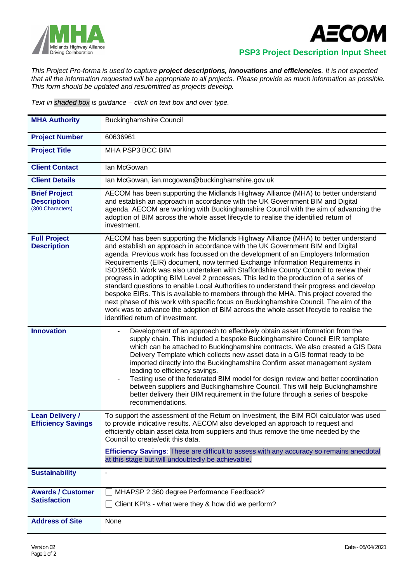



 **PSP3 Project Description Input Sheet**

*This Project Pro-forma is used to capture project descriptions, innovations and efficiencies. It is not expected that all the information requested will be appropriate to all projects. Please provide as much information as possible. This form should be updated and resubmitted as projects develop.*

*Text in shaded box is guidance – click on text box and over type.*

| <b>MHA Authority</b>                                           | <b>Buckinghamshire Council</b>                                                                                                                                                                                                                                                                                                                                                                                                                                                                                                                                                                                                                                                                                                                                                                                                                                                                                                         |
|----------------------------------------------------------------|----------------------------------------------------------------------------------------------------------------------------------------------------------------------------------------------------------------------------------------------------------------------------------------------------------------------------------------------------------------------------------------------------------------------------------------------------------------------------------------------------------------------------------------------------------------------------------------------------------------------------------------------------------------------------------------------------------------------------------------------------------------------------------------------------------------------------------------------------------------------------------------------------------------------------------------|
| <b>Project Number</b>                                          | 60636961                                                                                                                                                                                                                                                                                                                                                                                                                                                                                                                                                                                                                                                                                                                                                                                                                                                                                                                               |
| <b>Project Title</b>                                           | MHA PSP3 BCC BIM                                                                                                                                                                                                                                                                                                                                                                                                                                                                                                                                                                                                                                                                                                                                                                                                                                                                                                                       |
| <b>Client Contact</b>                                          | Ian McGowan                                                                                                                                                                                                                                                                                                                                                                                                                                                                                                                                                                                                                                                                                                                                                                                                                                                                                                                            |
| <b>Client Details</b>                                          | Ian McGowan, ian.mcgowan@buckinghamshire.gov.uk                                                                                                                                                                                                                                                                                                                                                                                                                                                                                                                                                                                                                                                                                                                                                                                                                                                                                        |
| <b>Brief Project</b><br><b>Description</b><br>(300 Characters) | AECOM has been supporting the Midlands Highway Alliance (MHA) to better understand<br>and establish an approach in accordance with the UK Government BIM and Digital<br>agenda. AECOM are working with Buckinghamshire Council with the aim of advancing the<br>adoption of BIM across the whole asset lifecycle to realise the identified return of<br>investment.                                                                                                                                                                                                                                                                                                                                                                                                                                                                                                                                                                    |
| <b>Full Project</b><br><b>Description</b>                      | AECOM has been supporting the Midlands Highway Alliance (MHA) to better understand<br>and establish an approach in accordance with the UK Government BIM and Digital<br>agenda. Previous work has focussed on the development of an Employers Information<br>Requirements (EIR) document, now termed Exchange Information Requirements in<br>ISO19650. Work was also undertaken with Staffordshire County Council to review their<br>progress in adopting BIM Level 2 processes. This led to the production of a series of<br>standard questions to enable Local Authorities to understand their progress and develop<br>bespoke EIRs. This is available to members through the MHA. This project covered the<br>next phase of this work with specific focus on Buckinghamshire Council. The aim of the<br>work was to advance the adoption of BIM across the whole asset lifecycle to realise the<br>identified return of investment. |
| <b>Innovation</b>                                              | Development of an approach to effectively obtain asset information from the<br>supply chain. This included a bespoke Buckinghamshire Council EIR template<br>which can be attached to Buckinghamshire contracts. We also created a GIS Data<br>Delivery Template which collects new asset data in a GIS format ready to be<br>imported directly into the Buckinghamshire Confirm asset management system<br>leading to efficiency savings.<br>Testing use of the federated BIM model for design review and better coordination<br>between suppliers and Buckinghamshire Council. This will help Buckinghamshire<br>better delivery their BIM requirement in the future through a series of bespoke<br>recommendations.                                                                                                                                                                                                                 |
| <b>Lean Delivery /</b><br><b>Efficiency Savings</b>            | To support the assessment of the Return on Investment, the BIM ROI calculator was used<br>to provide indicative results. AECOM also developed an approach to request and<br>efficiently obtain asset data from suppliers and thus remove the time needed by the<br>Council to create/edit this data.<br>Efficiency Savings: These are difficult to assess with any accuracy so remains anecdotal<br>at this stage but will undoubtedly be achievable.                                                                                                                                                                                                                                                                                                                                                                                                                                                                                  |
| <b>Sustainability</b>                                          |                                                                                                                                                                                                                                                                                                                                                                                                                                                                                                                                                                                                                                                                                                                                                                                                                                                                                                                                        |
| <b>Awards / Customer</b><br><b>Satisfaction</b>                | MHAPSP 2 360 degree Performance Feedback?<br>Client KPI's - what were they & how did we perform?                                                                                                                                                                                                                                                                                                                                                                                                                                                                                                                                                                                                                                                                                                                                                                                                                                       |
| <b>Address of Site</b>                                         | None                                                                                                                                                                                                                                                                                                                                                                                                                                                                                                                                                                                                                                                                                                                                                                                                                                                                                                                                   |